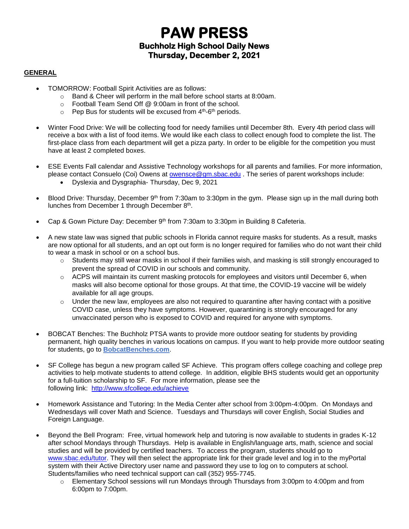# **PAW PRESS Buchholz High School Daily News Thursday, December 2, 2021**

#### **GENERAL**

- TOMORROW: Football Spirit Activities are as follows:
	- o Band & Cheer will perform in the mall before school starts at 8:00am.
	- o Football Team Send Off @ 9:00am in front of the school.
	- $\circ$  Pep Bus for students will be excused from  $4<sup>th</sup>$ -6<sup>th</sup> periods.
- Winter Food Drive: We will be collecting food for needy families until December 8th. Every 4th period class will receive a box with a list of food items. We would like each class to collect enough food to complete the list. The first-place class from each department will get a pizza party. In order to be eligible for the competition you must have at least 2 completed boxes.
- ESE Events Fall calendar and Assistive Technology workshops for all parents and families. For more information, please contact Consuelo (Coi) Owens at [owensce@gm.sbac.edu](mailto:owensce@gm.sbac.edu) . The series of parent workshops include:
	- Dyslexia and Dysgraphia- Thursday, Dec 9, 2021
- Blood Drive: Thursday, December 9<sup>th</sup> from 7:30am to 3:30pm in the gym. Please sign up in the mall during both lunches from December 1 through December 8<sup>th</sup>.
- Cap & Gown Picture Day: December 9<sup>th</sup> from 7:30am to 3:30pm in Building 8 Cafeteria.
- A new state law was signed that public schools in Florida cannot require masks for students. As a result, masks are now optional for all students, and an opt out form is no longer required for families who do not want their child to wear a mask in school or on a school bus.
	- o Students may still wear masks in school if their families wish, and masking is still strongly encouraged to prevent the spread of COVID in our schools and community.
	- $\circ$  ACPS will maintain its current masking protocols for employees and visitors until December 6, when masks will also become optional for those groups. At that time, the COVID-19 vaccine will be widely available for all age groups.
	- $\circ$  Under the new law, employees are also not required to quarantine after having contact with a positive COVID case, unless they have symptoms. However, quarantining is strongly encouraged for any unvaccinated person who is exposed to COVID and required for anyone with symptoms.
- BOBCAT Benches: The Buchholz PTSA wants to provide more outdoor seating for students by providing permanent, high quality benches in various locations on campus. If you want to help provide more outdoor seating for students, go to **[BobcatBenches.com](http://m7scym5f.r.us-east-1.awstrack.me/L0/www.BobcatBenches.com/1/0100017ceda7ad53-510fabd6-46b5-450d-8db7-465f7dc345a6-000000/xq-u89zrwmCi4EaO1eJtbniMGCs=243)**.
- SF College has begun a new program called SF Achieve. This program offers college coaching and college prep activities to help motivate students to attend college. In addition, eligible BHS students would get an opportunity for a full-tuition scholarship to SF. For more information, please see the following link: <http://www.sfcollege.edu/achieve>
- Homework Assistance and Tutoring: In the Media Center after school from 3:00pm-4:00pm. On Mondays and Wednesdays will cover Math and Science. Tuesdays and Thursdays will cover English, Social Studies and Foreign Language.
- Beyond the Bell Program: Free, virtual homework help and tutoring is now available to students in grades K-12 after school Mondays through Thursdays. Help is available in English/language arts, math, science and social studies and will be provided by certified teachers. To access the program, students should go to [www.sbac.edu/tutor.](http://www.sbac.edu/tutor) They will then select the appropriate link for their grade level and log in to the myPortal system with their Active Directory user name and password they use to log on to computers at school. Students/families who need technical support can call (352) 955-7745.
	- $\circ$  Elementary School sessions will run Mondays through Thursdays from 3:00pm to 4:00pm and from 6:00pm to 7:00pm.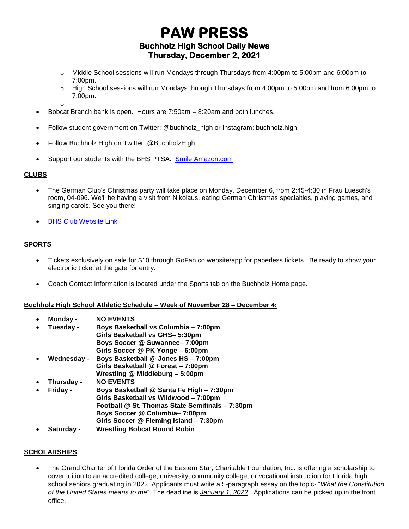# **PAW PRESS Buchholz High School Daily News Thursday, December 2, 2021**

- o Middle School sessions will run Mondays through Thursdays from 4:00pm to 5:00pm and 6:00pm to 7:00pm.
- o High School sessions will run Mondays through Thursdays from 4:00pm to 5:00pm and from 6:00pm to 7:00pm.
- Bobcat Branch bank is open. Hours are 7:50am 8:20am and both lunches.
- Follow student government on Twitter: @buchholz\_high or Instagram: buchholz.high.
- Follow Buchholz High on Twitter: @BuchholzHigh
- Support our students with the BHS PTSA. [Smile.Amazon.com](http://smile.amazon.com/)

### **CLUBS**

- The German Club's Christmas party will take place on Monday, December 6, from 2:45-4:30 in Frau Luesch's room, 04-096. We'll be having a visit from Nikolaus, eating German Christmas specialties, playing games, and singing carols. See you there!
- **[BHS Club Website Link](https://www.sbac.edu/domain/1650)**

o

### **SPORTS**

- Tickets exclusively on sale for \$10 through GoFan.co website/app for paperless tickets. Be ready to show your electronic ticket at the gate for entry.
- Coach Contact Information is located under the Sports tab on the Buchholz Home page.

#### **Buchholz High School Athletic Schedule – Week of November 28 – December 4:**

- **Monday - NO EVENTS**
- **Tuesday - Boys Basketball vs Columbia – 7:00pm Girls Basketball vs GHS– 5:30pm Boys Soccer @ Suwannee– 7:00pm**
- **Girls Soccer @ PK Yonge – 6:00pm** • **Wednesday - Boys Basketball @ Jones HS – 7:00pm**
- **Girls Basketball @ Forest – 7:00pm**
- **Wrestling @ Middleburg – 5:00pm**
- **Thursday - NO EVENTS**
- **Friday - Boys Basketball @ Santa Fe High – 7:30pm Girls Basketball vs Wildwood – 7:00pm Football @ St. Thomas State Semifinals – 7:30pm Boys Soccer @ Columbia– 7:00pm Girls Soccer @ Fleming Island – 7:30pm**
- **Saturday - Wrestling Bobcat Round Robin**

### **SCHOLARSHIPS**

• The Grand Chanter of Florida Order of the Eastern Star, Charitable Foundation, Inc. is offering a scholarship to cover tuition to an accredited college, university, community college, or vocational instruction for Florida high school seniors graduating in 2022. Applicants must write a 5-paragraph essay on the topic- "*What the Constitution of the United States means to me*". The deadline is *January 1, 2022*. Applications can be picked up in the front office.